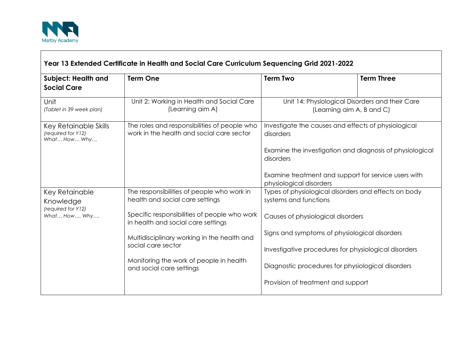

 $\Gamma$ 

| Subject: Health and<br><b>Social Care</b>                         | <b>Term One</b>                                                                           | <b>Term Two</b>                                                                                                                           | <b>Term Three</b>                                    |
|-------------------------------------------------------------------|-------------------------------------------------------------------------------------------|-------------------------------------------------------------------------------------------------------------------------------------------|------------------------------------------------------|
| Unit<br>(Tablet in 39 week plan)                                  | Unit 2: Working in Health and Social Care<br>(Learning aim A)                             | Unit 14: Physiological Disorders and their Care<br>(Learning aim A, B and C)                                                              |                                                      |
| Key Retainable Skills<br>(required for Y12)<br>What How Why       | The roles and responsibilities of people who<br>work in the health and social care sector | Investigate the causes and effects of physiological<br>disorders<br>Examine the investigation and diagnosis of physiological<br>disorders |                                                      |
|                                                                   |                                                                                           |                                                                                                                                           |                                                      |
|                                                                   |                                                                                           | Examine treatment and support for service users with<br>physiological disorders                                                           |                                                      |
| Key Retainable<br>Knowledge<br>(required for Y12)<br>What How Why | The responsibilities of people who work in<br>health and social care settings             | Types of physiological disorders and effects on body<br>systems and functions                                                             |                                                      |
|                                                                   | Specific responsibilities of people who work<br>in health and social care settings        | Causes of physiological disorders                                                                                                         |                                                      |
|                                                                   | Multidisciplinary working in the health and<br>social care sector                         | Signs and symptoms of physiological disorders                                                                                             |                                                      |
|                                                                   |                                                                                           |                                                                                                                                           | Investigative procedures for physiological disorders |
|                                                                   | Monitoring the work of people in health<br>and social care settings                       | Diagnostic procedures for physiological disorders                                                                                         |                                                      |
|                                                                   |                                                                                           | Provision of treatment and support                                                                                                        |                                                      |

┑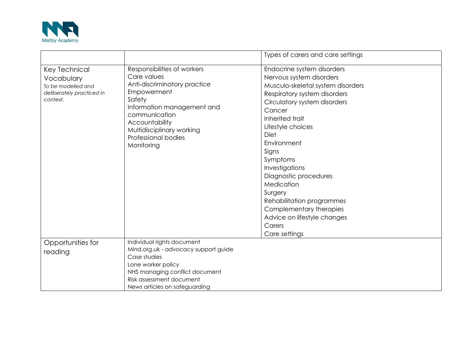

|                                                                                            |                                                                                                                                                                                                                                        | Types of carers and care settings                                                                                                                                                                                                                                                                                                                                                                                                               |
|--------------------------------------------------------------------------------------------|----------------------------------------------------------------------------------------------------------------------------------------------------------------------------------------------------------------------------------------|-------------------------------------------------------------------------------------------------------------------------------------------------------------------------------------------------------------------------------------------------------------------------------------------------------------------------------------------------------------------------------------------------------------------------------------------------|
| Key Technical<br>Vocabulary<br>To be modelled and<br>deliberately practiced in<br>context. | Responsibilities of workers<br>Care values<br>Anti-discriminatory practice<br>Empowerment<br>Safety<br>Information management and<br>communication<br>Accountability<br>Multidisciplinary working<br>Professional bodies<br>Monitoring | Endocrine system disorders<br>Nervous system disorders<br>Musculo-skeletal system disorders<br>Respiratory system disorders<br>Circulatory system disorders<br>Cancer<br>Inherited trait<br>Lifestyle choices<br>Diet<br>Environment<br>Signs<br>Symptoms<br>Investigations<br>Diagnostic procedures<br>Medication<br>Surgery<br>Rehabilitation programmes<br>Complementary therapies<br>Advice on lifestyle changes<br>Carers<br>Care settings |
| Opportunities for<br>reading                                                               | Individual rights document<br>Mind.org.uk - advocacy support guide<br>Case studies<br>Lone worker policy<br>NHS managing conflict document<br>Risk assessment document<br>News articles on safeguarding                                |                                                                                                                                                                                                                                                                                                                                                                                                                                                 |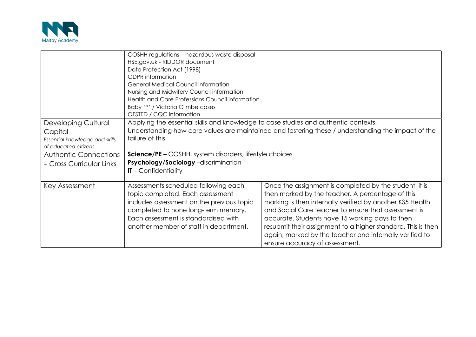

|                                                                                                  | COSHH regulations - hazardous waste disposal<br>HSE.gov.uk - RIDDOR document<br>Data Protection Act (1998)<br><b>GDPR</b> information<br><b>General Medical Council information</b><br>Nursing and Midwifery Council information<br>Health and Care Professions Council information<br>Baby 'P' / Victoria Climbe cases |                                                                                                                                                                                                                                                                                                                                                                                                                                                 |  |  |
|--------------------------------------------------------------------------------------------------|-------------------------------------------------------------------------------------------------------------------------------------------------------------------------------------------------------------------------------------------------------------------------------------------------------------------------|-------------------------------------------------------------------------------------------------------------------------------------------------------------------------------------------------------------------------------------------------------------------------------------------------------------------------------------------------------------------------------------------------------------------------------------------------|--|--|
|                                                                                                  | OFSTED / CQC information                                                                                                                                                                                                                                                                                                |                                                                                                                                                                                                                                                                                                                                                                                                                                                 |  |  |
| <b>Developing Cultural</b><br>Capital<br>Essential knowledge and skills<br>of educated citizens. | Applying the essential skills and knowledge to case studies and authentic contexts.<br>Understanding how care values are maintained and fostering these / understanding the impact of the<br>failure of this                                                                                                            |                                                                                                                                                                                                                                                                                                                                                                                                                                                 |  |  |
| <b>Authentic Connections</b>                                                                     | Science/PE - COSHH, system disorders, lifestyle choices                                                                                                                                                                                                                                                                 |                                                                                                                                                                                                                                                                                                                                                                                                                                                 |  |  |
| - Cross Curricular Links                                                                         | <b>Psychology/Sociology</b> -discrimination<br>$IT$ – Confidentiality                                                                                                                                                                                                                                                   |                                                                                                                                                                                                                                                                                                                                                                                                                                                 |  |  |
| Key Assessment                                                                                   | Assessments scheduled following each<br>topic completed. Each assessment<br>includes assessment on the previous topic<br>completed to hone long-term memory.<br>Each assessment is standardised with<br>another member of staff in department.                                                                          | Once the assignment is completed by the student, it is<br>then marked by the teacher. A percentage of this<br>marking is then internally verified by another KS5 Health<br>and Social Care teacher to ensure that assessment is<br>accurate. Students have 15 working days to then<br>resubmit their assignment to a higher standard. This is then<br>again, marked by the teacher and internally verified to<br>ensure accuracy of assessment. |  |  |